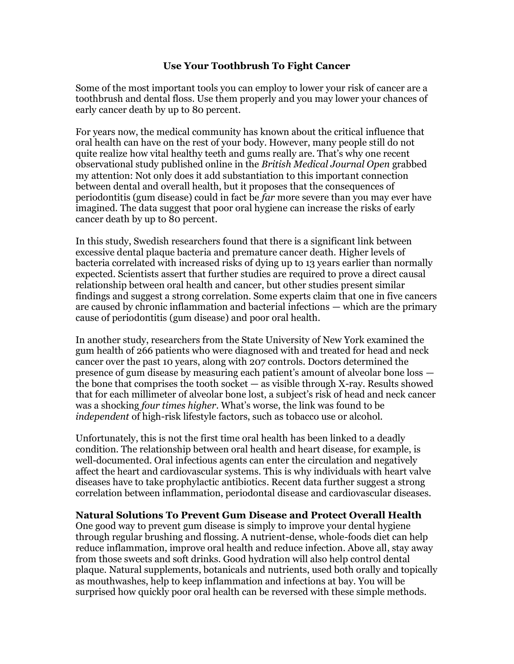## **Use Your Toothbrush To Fight Cancer**

Some of the most important tools you can employ to lower your risk of cancer are a toothbrush and dental floss. Use them properly and you may lower your chances of early cancer death by up to 80 percent.

For years now, the medical community has known about the critical influence that oral health can have on the rest of your body. However, many people still do not quite realize how vital healthy teeth and gums really are. That's why one recent observational study published online in the *British Medical Journal Open* grabbed my attention: Not only does it add substantiation to this important connection between dental and overall health, but it proposes that the consequences of periodontitis (gum disease) could in fact be *far* more severe than you may ever have imagined. The data suggest that poor oral hygiene can increase the risks of early cancer death by up to 80 percent.

In this study, Swedish researchers found that there is a significant link between excessive dental plaque bacteria and premature cancer death. Higher levels of bacteria correlated with increased risks of dying up to 13 years earlier than normally expected. Scientists assert that further studies are required to prove a direct causal relationship between oral health and cancer, but other studies present similar findings and suggest a strong correlation. Some experts claim that one in five cancers are caused by chronic inflammation and bacterial infections — which are the primary cause of periodontitis (gum disease) and poor oral health.

In another study, researchers from the State University of New York examined the gum health of 266 patients who were diagnosed with and treated for head and neck cancer over the past 10 years, along with 207 controls. Doctors determined the presence of gum disease by measuring each patient's amount of alveolar bone loss the bone that comprises the tooth socket — as visible through X-ray. Results showed that for each millimeter of alveolar bone lost, a subject's risk of head and neck cancer was a shocking *four times higher*. What's worse, the link was found to be *independent* of high-risk lifestyle factors, such as tobacco use or alcohol.

Unfortunately, this is not the first time oral health has been linked to a deadly condition. The relationship between oral health and heart disease, for example, is well-documented. Oral infectious agents can enter the circulation and negatively affect the heart and cardiovascular systems. This is why individuals with heart valve diseases have to take prophylactic antibiotics. Recent data further suggest a strong correlation between inflammation, periodontal disease and cardiovascular diseases.

## **Natural Solutions To Prevent Gum Disease and Protect Overall Health**

One good way to prevent gum disease is simply to improve your dental hygiene through regular brushing and flossing. A nutrient-dense, whole-foods diet can help reduce inflammation, improve oral health and reduce infection. Above all, stay away from those sweets and soft drinks. Good hydration will also help control dental plaque. Natural supplements, botanicals and nutrients, used both orally and topically as mouthwashes, help to keep inflammation and infections at bay. You will be surprised how quickly poor oral health can be reversed with these simple methods.